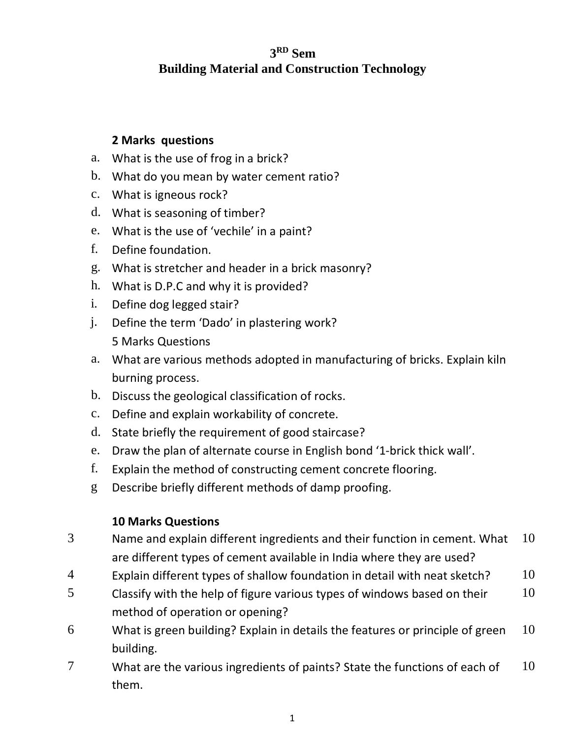# **3 RD Sem Building Material and Construction Technology**

# **2 Marks questions**

- a. What is the use of frog in a brick?
- b. What do you mean by water cement ratio?
- c. What is igneous rock?
- d. What is seasoning of timber?
- e. What is the use of 'vechile' in a paint?
- f. Define foundation.
- g. What is stretcher and header in a brick masonry?
- h. What is D.P.C and why it is provided?
- i. Define dog legged stair?
- j. Define the term 'Dado' in plastering work? 5 Marks Questions
- a. What are various methods adopted in manufacturing of bricks. Explain kiln burning process.
- b. Discuss the geological classification of rocks.
- c. Define and explain workability of concrete.
- d. State briefly the requirement of good staircase?
- e. Draw the plan of alternate course in English bond '1-brick thick wall'.
- f. Explain the method of constructing cement concrete flooring.
- g Describe briefly different methods of damp proofing.

## **10 Marks Questions**

- 3 Name and explain different ingredients and their function in cement. What are different types of cement available in India where they are used? 10
- 4 Explain different types of shallow foundation in detail with neat sketch?  $10$
- 5 Classify with the help of figure various types of windows based on their method of operation or opening? 10
- 6 What is green building? Explain in details the features or principle of green building. 10
- 7 What are the various ingredients of paints? State the functions of each of them. 10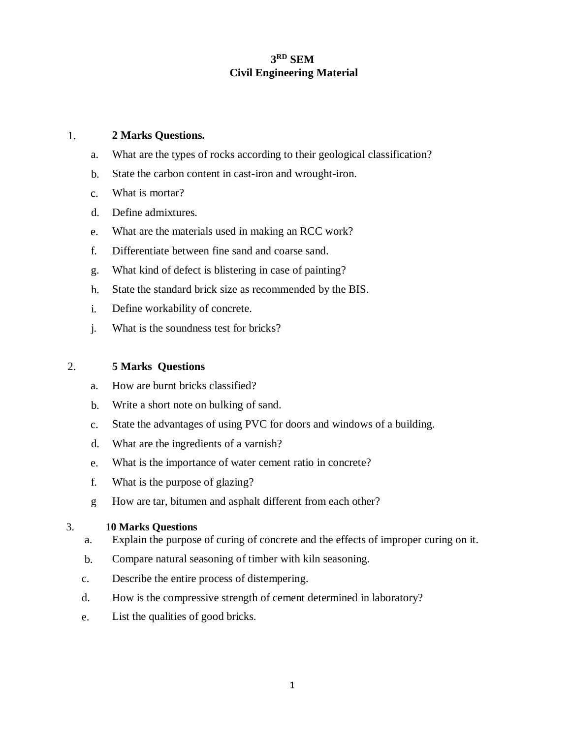## **3 RD SEM Civil Engineering Material**

### 1. **2 Marks Questions.**

- a. What are the types of rocks according to their geological classification?
- b. State the carbon content in cast-iron and wrought-iron.
- c. What is mortar?
- d. Define admixtures.
- e. What are the materials used in making an RCC work?
- f. Differentiate between fine sand and coarse sand.
- g. What kind of defect is blistering in case of painting?
- h. State the standard brick size as recommended by the BIS.
- i. Define workability of concrete.
- j. What is the soundness test for bricks?

### 2. **5 Marks Questions**

- a. How are burnt bricks classified?
- b. Write a short note on bulking of sand.
- c. State the advantages of using PVC for doors and windows of a building.
- d. What are the ingredients of a varnish?
- e. What is the importance of water cement ratio in concrete?
- f. What is the purpose of glazing?
- g How are tar, bitumen and asphalt different from each other?

#### 3. 1**0 Marks Questions**

- a. Explain the purpose of curing of concrete and the effects of improper curing on it.
- b. Compare natural seasoning of timber with kiln seasoning.
- c. Describe the entire process of distempering.
- d. How is the compressive strength of cement determined in laboratory?
- e. List the qualities of good bricks.